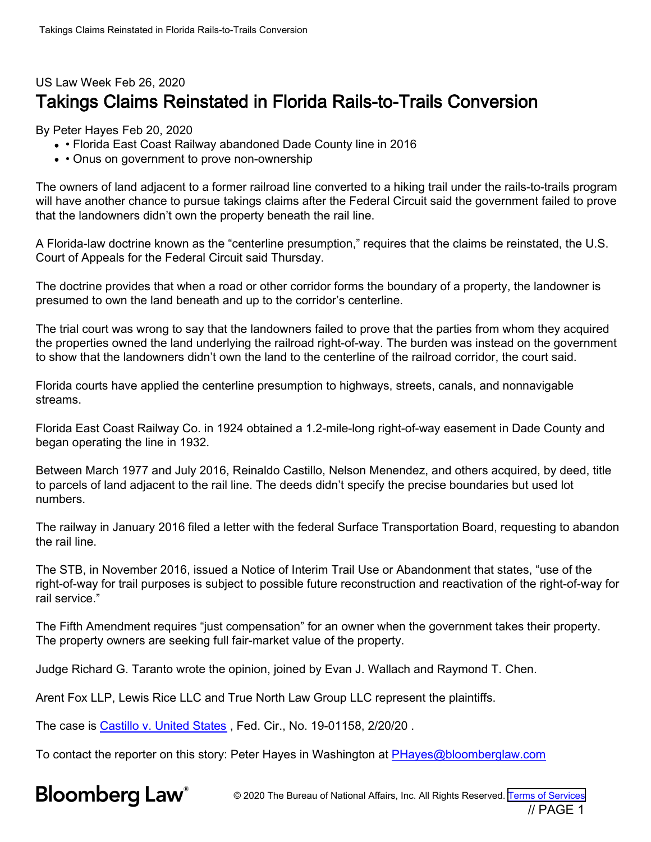## US Law Week Feb 26, 2020 Takings Claims Reinstated in Florida Rails-to-Trails Conversion

By Peter Hayes Feb 20, 2020

- Florida East Coast Railway abandoned Dade County line in 2016
- Onus on government to prove non-ownership

The owners of land adjacent to a former railroad line converted to a hiking trail under the rails-to-trails program will have another chance to pursue takings claims after the Federal Circuit said the government failed to prove that the landowners didn't own the property beneath the rail line.

A Florida-law doctrine known as the "centerline presumption," requires that the claims be reinstated, the U.S. Court of Appeals for the Federal Circuit said Thursday.

The doctrine provides that when a road or other corridor forms the boundary of a property, the landowner is presumed to own the land beneath and up to the corridor's centerline.

The trial court was wrong to say that the landowners failed to prove that the parties from whom they acquired the properties owned the land underlying the railroad right-of-way. The burden was instead on the government to show that the landowners didn't own the land to the centerline of the railroad corridor, the court said.

Florida courts have applied the centerline presumption to highways, streets, canals, and nonnavigable streams.

Florida East Coast Railway Co. in 1924 obtained a 1.2-mile-long right-of-way easement in Dade County and began operating the line in 1932.

Between March 1977 and July 2016, Reinaldo Castillo, Nelson Menendez, and others acquired, by deed, title to parcels of land adjacent to the rail line. The deeds didn't specify the precise boundaries but used lot numbers.

The railway in January 2016 filed a letter with the federal Surface Transportation Board, requesting to abandon the rail line.

The STB, in November 2016, issued a Notice of Interim Trail Use or Abandonment that states, "use of the right-of-way for trail purposes is subject to possible future reconstruction and reactivation of the right-of-way for rail service."

The Fifth Amendment requires "just compensation" for an owner when the government takes their property. The property owners are seeking full fair-market value of the property.

Judge Richard G. Taranto wrote the opinion, joined by Evan J. Wallach and Raymond T. Chen.

Arent Fox LLP, Lewis Rice LLC and True North Law Group LLC represent the plaintiffs.

The case is [Castillo v. United States](https://www.bloomberglaw.com/ms/public/document/CastillovUSDocketNo1901158FedCirNov052018CourtDocket/1?doc_id=X1Q6O5VFUU82) , Fed. Cir., No. 19-01158, 2/20/20 .

To contact the reporter on this story: Peter Hayes in Washington at [PHayes@bloomberglaw.com](mailto:PHayes@bloomberglaw.com)

**Bloomberg Law**<sup>®</sup>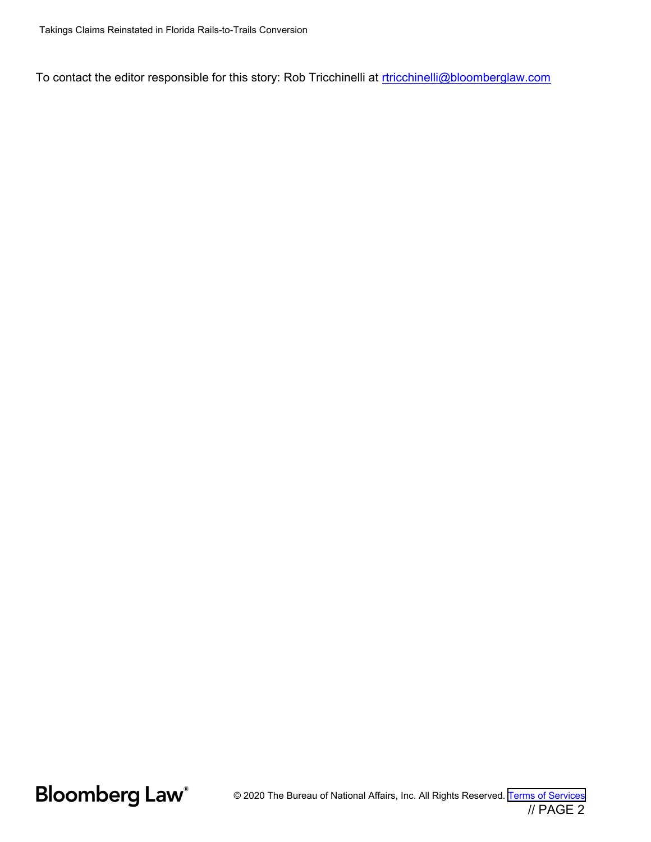To contact the editor responsible for this story: Rob Tricchinelli at [rtricchinelli@bloomberglaw.com](mailto:rtricchinelli@bloomberglaw.com)

**Bloomberg Law**<sup>®</sup>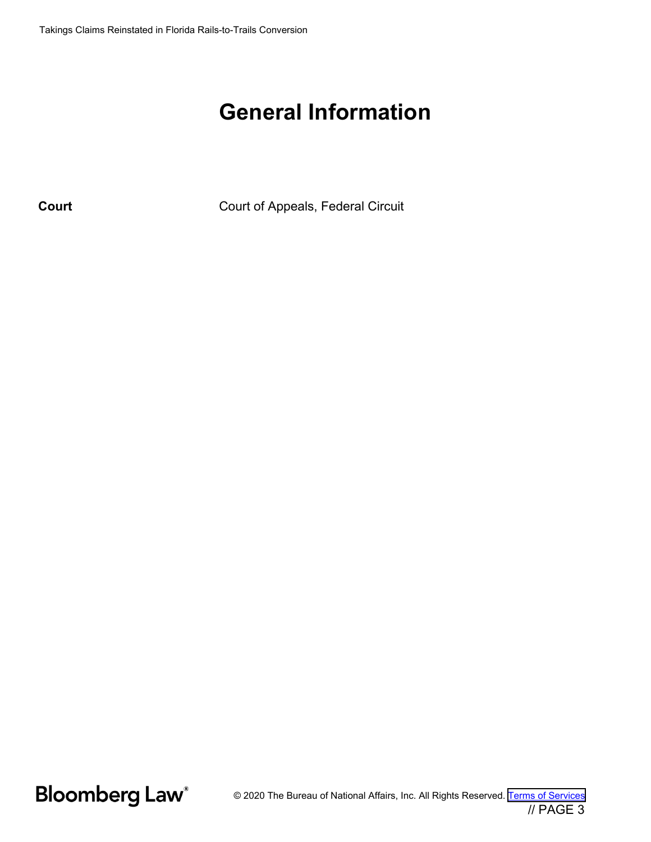## **General Information**

**Court** Court of Appeals, Federal Circuit

**Bloomberg Law**<sup>®</sup>